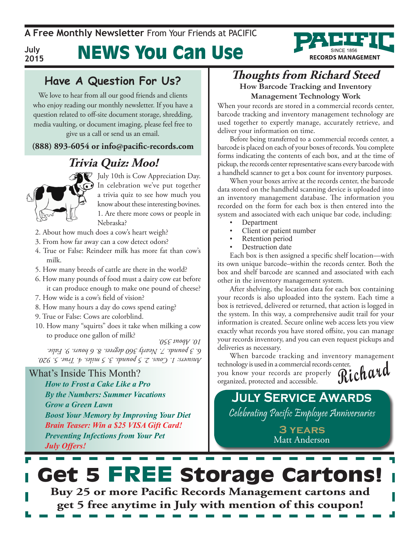**A Free Monthly Newsletter** From Your Friends at Pacific

**RECORDS MANAGEMENT** 

**July 2015**

# News You Can Use

#### **Have A Question For Us?**

We love to hear from all our good friends and clients who enjoy reading our monthly newsletter. If you have a question related to off-site document storage, shredding, media vaulting, or document imaging, please feel free to give us a call or send us an email.

#### **(888) 893-6054 or info@pacific-records.com**

### **Trivia Quiz: Moo!**



July 10th is Cow Appreciation Day. In celebration we've put together a trivia quiz to see how much you know about these interesting bovines. 1. Are there more cows or people in Nebraska?

- 2. About how much does a cow's heart weigh?
- 3. From how far away can a cow detect odors?
- 4. True or False: Reindeer milk has more fat than cow's milk.
- 5. How many breeds of cattle are there in the world?
- 6. How many pounds of food must a dairy cow eat before it can produce enough to make one pound of cheese?
- 7. How wide is a cow's field of vision?
- 8. How many hours a day do cows spend eating?
- 9. True or False: Cows are colorblind.
- 10. How many "squirts" does it take when milking a cow to produce one gallon of milk?

*Answers: 1. Cows. 2. 5 pounds. 3. 5 miles. 4. True. 5. 920. 6. 3 pounds. 7. Nearly 360 degrees. 8. 6 hours. 9. False. 10. About 350.*

#### What's Inside This Month?

*How to Frost a Cake Like a Pro By the Numbers: Summer Vacations Grow a Green Lawn Boost Your Memory by Improving Your Diet Brain Teaser: Win a \$25 VISA Gift Card! Preventing Infections from Your Pet July Offers!*

## **Thoughts from Richard Steed**

**How Barcode Tracking and Inventory Management Technology Work**

When your records are stored in a commercial records center, barcode tracking and inventory management technology are used together to expertly manage, accurately retrieve, and deliver your information on time.

Before being transferred to a commercial records center, a barcode is placed on each of your boxes of records. You complete forms indicating the contents of each box, and at the time of pickup, the records center representative scans every barcode with a handheld scanner to get a box count for inventory purposes.

When your boxes arrive at the records center, the barcode data stored on the handheld scanning device is uploaded into an inventory management database. The information you recorded on the form for each box is then entered into the system and associated with each unique bar code, including:

- **Department**
- Client or patient number
- Retention period
- Destruction date

Each box is then assigned a specific shelf location—with its own unique barcode–within the records center. Both the box and shelf barcode are scanned and associated with each other in the inventory management system.

After shelving, the location data for each box containing your records is also uploaded into the system. Each time a box is retrieved, delivered or returned, that action is logged in the system. In this way, a comprehensive audit trail for your information is created. Secure online web access lets you view exactly what records you have stored offsite, you can manage your records inventory, and you can even request pickups and deliveries as necessary.

**Richard** When barcode tracking and inventory management technology is used in a commercial records center, you know your records are properly organized, protected and accessible.

## **July Service Awards**

Celebrating Pacific Employee Anniversaries

**3 years** Matt Anderson

## Get 5 FREE Storage Cartons! **Buy 25 or more Pacific Records Management cartons and get 5 free anytime in July with mention of this coupon!**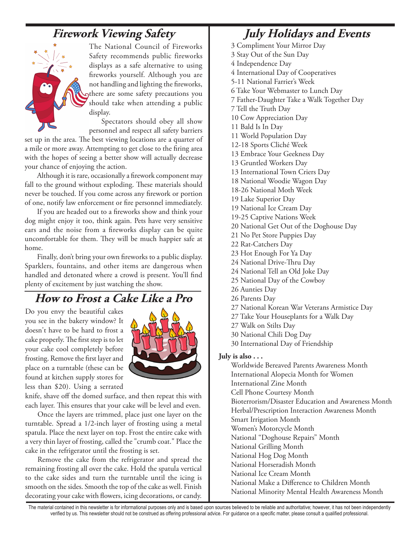### **Firework Viewing Safety**



The National Council of Fireworks Safety recommends public fireworks displays as a safe alternative to using fireworks yourself. Although you are not handling and lighting the fireworks, there are some safety precautions you should take when attending a public display.

Spectators should obey all show personnel and respect all safety barriers

set up in the area. The best viewing locations are a quarter of a mile or more away. Attempting to get close to the firing area with the hopes of seeing a better show will actually decrease your chance of enjoying the action.

Although it is rare, occasionally a firework component may fall to the ground without exploding. These materials should never be touched. If you come across any firework or portion of one, notify law enforcement or fire personnel immediately.

If you are headed out to a fireworks show and think your dog might enjoy it too, think again. Pets have very sensitive ears and the noise from a fireworks display can be quite uncomfortable for them. They will be much happier safe at home.

Finally, don't bring your own fireworks to a public display. Sparklers, fountains, and other items are dangerous when handled and detonated where a crowd is present. You'll find plenty of excitement by just watching the show.

#### **How to Frost a Cake Like a Pro**

Do you envy the beautiful cakes you see in the bakery window? It doesn't have to be hard to frost a cake properly. The first step is to let your cake cool completely before frosting. Remove the first layer and place on a turntable (these can be found at kitchen supply stores for less than \$20). Using a serrated



knife, shave off the domed surface, and then repeat this with each layer. This ensures that your cake will be level and even.

Once the layers are trimmed, place just one layer on the turntable. Spread a 1/2-inch layer of frosting using a metal spatula. Place the next layer on top. Frost the entire cake with a very thin layer of frosting, called the "crumb coat." Place the cake in the refrigerator until the frosting is set.

Remove the cake from the refrigerator and spread the remaining frosting all over the cake. Hold the spatula vertical to the cake sides and turn the turntable until the icing is smooth on the sides. Smooth the top of the cake as well. Finish decorating your cake with flowers, icing decorations, or candy.

### **July Holidays and Events**

3 Compliment Your Mirror Day 3 Stay Out of the Sun Day 4 Independence Day 4 International Day of Cooperatives 5-11 National Farrier's Week 6 Take Your Webmaster to Lunch Day 7 Father-Daughter Take a Walk Together Day 7 Tell the Truth Day 10 Cow Appreciation Day 11 Bald Is In Day 11 World Population Day 12-18 Sports Cliché Week 13 Embrace Your Geekness Day 13 Gruntled Workers Day 13 International Town Criers Day 18 National Woodie Wagon Day 18-26 National Moth Week 19 Lake Superior Day 19 National Ice Cream Day 19-25 Captive Nations Week 20 National Get Out of the Doghouse Day 21 No Pet Store Puppies Day 22 Rat-Catchers Day 23 Hot Enough For Ya Day 24 National Drive-Thru Day 24 National Tell an Old Joke Day 25 National Day of the Cowboy 26 Aunties Day 26 Parents Day 27 National Korean War Veterans Armistice Day 27 Take Your Houseplants for a Walk Day 27 Walk on Stilts Day 30 National Chili Dog Day 30 International Day of Friendship

#### **July is also . . .**

Worldwide Bereaved Parents Awareness Month International Alopecia Month for Women International Zine Month Cell Phone Courtesy Month Bioterrorism/Disaster Education and Awareness Month Herbal/Prescription Interaction Awareness Month Smart Irrigation Month Women's Motorcycle Month National "Doghouse Repairs" Month National Grilling Month National Hog Dog Month National Horseradish Month National Ice Cream Month National Make a Difference to Children Month National Minority Mental Health Awareness Month

The material contained in this newsletter is for informational purposes only and is based upon sources believed to be reliable and authoritative; however, it has not been independently verified by us. This newsletter should not be construed as offering professional advice. For guidance on a specific matter, please consult a qualified professional.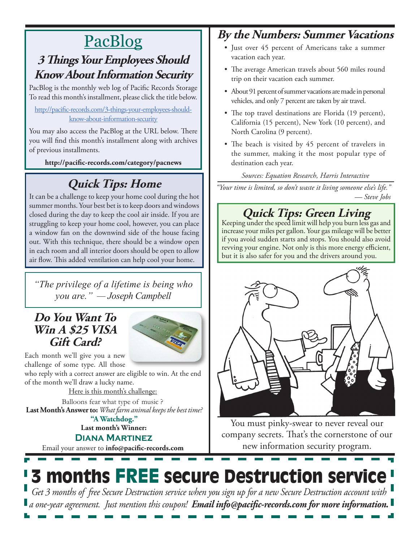# PacBlog

### **3 Things Your Employees Should Know About Information Security**

PacBlog is the monthly web log of Pacific Records Storage To read this month's installment, please click the title below.

#### [http://pacific-records.com/3-things-your-employees-should](http://pacific-records.com/3-things-your-employees-should-know-about-information-security)[know-about-information-security](http://pacific-records.com/3-things-your-employees-should-know-about-information-security)

You may also access the PacBlog at the URL below. There you will find this month's installment along with archives of previous installments.

**http://pacific-records.com/category/pacnews**

## **Quick Tips: Home**

It can be a challenge to keep your home cool during the hot summer months. Your best bet is to keep doors and windows closed during the day to keep the cool air inside. If you are struggling to keep your home cool, however, you can place a window fan on the downwind side of the house facing out. With this technique, there should be a window open in each room and all interior doors should be open to allow air flow. This added ventilation can help cool your home.

*"The privilege of a lifetime is being who you are." — Joseph Campbell*

#### **Do You Want To Win A \$25 VISA Gift Card?**



Each month we'll give you a new challenge of some type. All those

who reply with a correct answer are eligible to win. At the end of the month we'll draw a lucky name.

Here is this month's challenge:

**Last Month's Answer to:** *What farm animal keeps the best time?* Balloons fear what type of music ?

**Last month's Winner: Diana Martinez "A Watchdog."**

Email your answer to **info@pacific-records.com**

### **By the Numbers: Summer Vacations**

- Just over 45 percent of Americans take a summer vacation each year.
- The average American travels about 560 miles round trip on their vacation each summer.
- About 91 percent of summer vacations are made in personal vehicles, and only 7 percent are taken by air travel.
- The top travel destinations are Florida (19 percent), California (15 percent), New York (10 percent), and North Carolina (9 percent).
- The beach is visited by 45 percent of travelers in the summer, making it the most popular type of destination each year.

#### *Sources: Equation Research, Harris Interactive*

*"Your time is limited, so don't waste it living someone else's life." — Steve Jobs*

# **Quick Tips: Green Living**<br>Keeping under the speed limit will help you burn less gas and

increase your miles per gallon. Your gas mileage will be better if you avoid sudden starts and stops. You should also avoid revving your engine. Not only is this more energy efficient, but it is also safer for you and the drivers around you.



You must pinky-swear to never reveal our company secrets. That's the cornerstone of our new information security program.

# 3 months FREE secure Destruction service

*Get 3 months of free Secure Destruction service when you sign up for a new Secure Destruction account with a one-year agreement. Just mention this coupon! Email info@pacific-records.com for more information.*